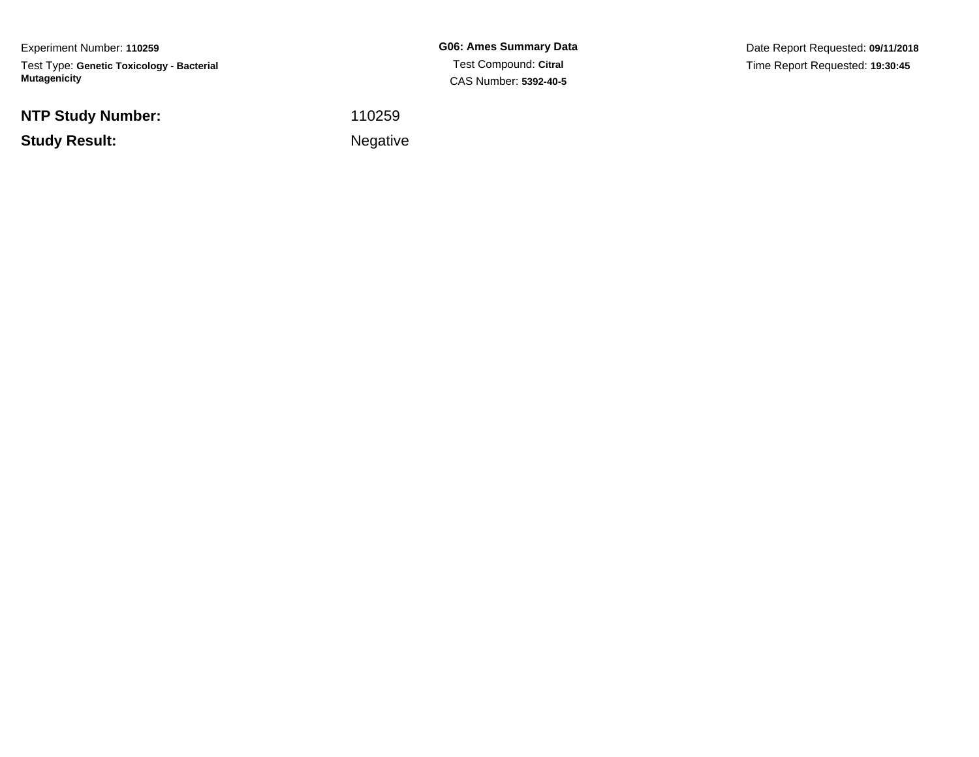Experiment Number: **110259**Test Type: **Genetic Toxicology - Bacterial Mutagenicity**

**NTP Study Number:**

**Example 2** is a set of the set of the Negative **Study Result:**

**G06: Ames Summary Data**Test Compound: **Citral**CAS Number: **5392-40-5**

Date Report Requested: **09/11/2018**Time Report Requested: **19:30:45**

<sup>110259</sup>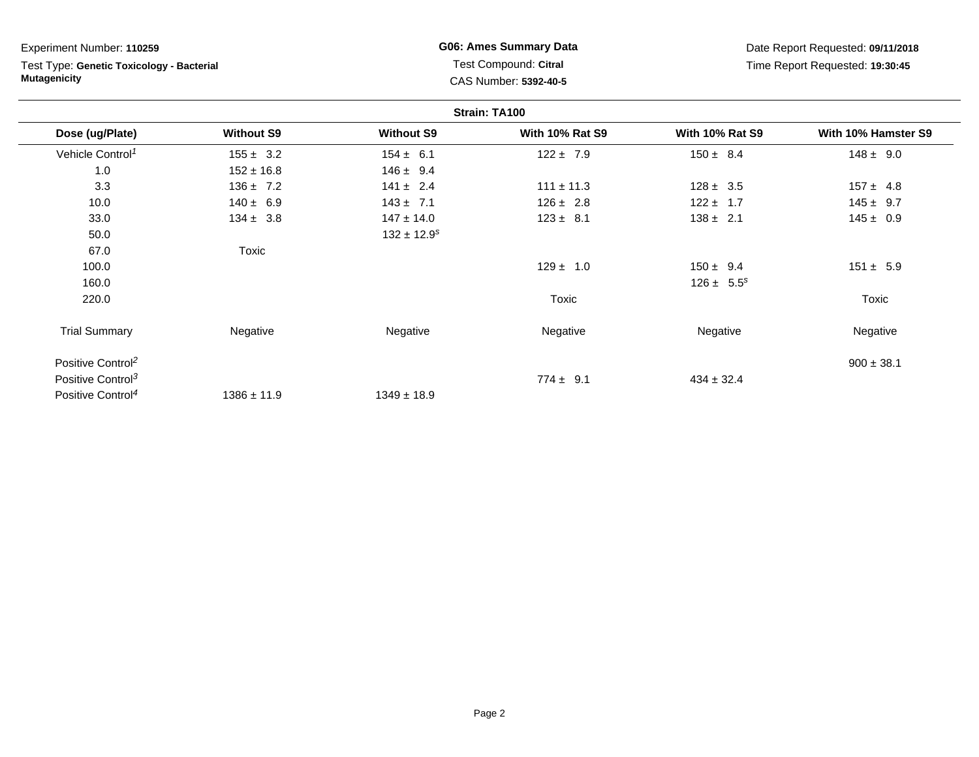Test Type: **Genetic Toxicology - Bacterial Mutagenicity**

**G06: Ames Summary Data**Test Compound: **Citral**CAS Number: **5392-40-5**

|                               |                   |                             | Strain: TA100          |                        |                     |
|-------------------------------|-------------------|-----------------------------|------------------------|------------------------|---------------------|
| Dose (ug/Plate)               | <b>Without S9</b> | <b>Without S9</b>           | <b>With 10% Rat S9</b> | <b>With 10% Rat S9</b> | With 10% Hamster S9 |
| Vehicle Control <sup>1</sup>  | $155 \pm 3.2$     | $154 \pm 6.1$               | $122 \pm 7.9$          | $150 \pm 8.4$          | $148 \pm 9.0$       |
| 1.0                           | $152 \pm 16.8$    | $146 \pm 9.4$               |                        |                        |                     |
| 3.3                           | $136 \pm 7.2$     | $141 \pm 2.4$               | $111 \pm 11.3$         | $128 \pm 3.5$          | $157 \pm 4.8$       |
| 10.0                          | $140 \pm 6.9$     | $143 \pm 7.1$               | $126 \pm 2.8$          | $122 \pm 1.7$          | $145 \pm 9.7$       |
| 33.0                          | $134 \pm 3.8$     | $147 \pm 14.0$              | $123 \pm 8.1$          | $138 \pm 2.1$          | $145 \pm 0.9$       |
| 50.0                          |                   | $132 \pm 12.9$ <sup>s</sup> |                        |                        |                     |
| 67.0                          | Toxic             |                             |                        |                        |                     |
| 100.0                         |                   |                             | $129 \pm 1.0$          | $150 \pm 9.4$          | $151 \pm 5.9$       |
| 160.0                         |                   |                             |                        | $126 \pm 5.5^s$        |                     |
| 220.0                         |                   |                             | Toxic                  |                        | Toxic               |
| <b>Trial Summary</b>          | Negative          | Negative                    | Negative               | Negative               | Negative            |
| Positive Control <sup>2</sup> |                   |                             |                        |                        | $900 \pm 38.1$      |
| Positive Control <sup>3</sup> |                   |                             | $774 \pm 9.1$          | $434 \pm 32.4$         |                     |
| Positive Control <sup>4</sup> | $1386 \pm 11.9$   | $1349 \pm 18.9$             |                        |                        |                     |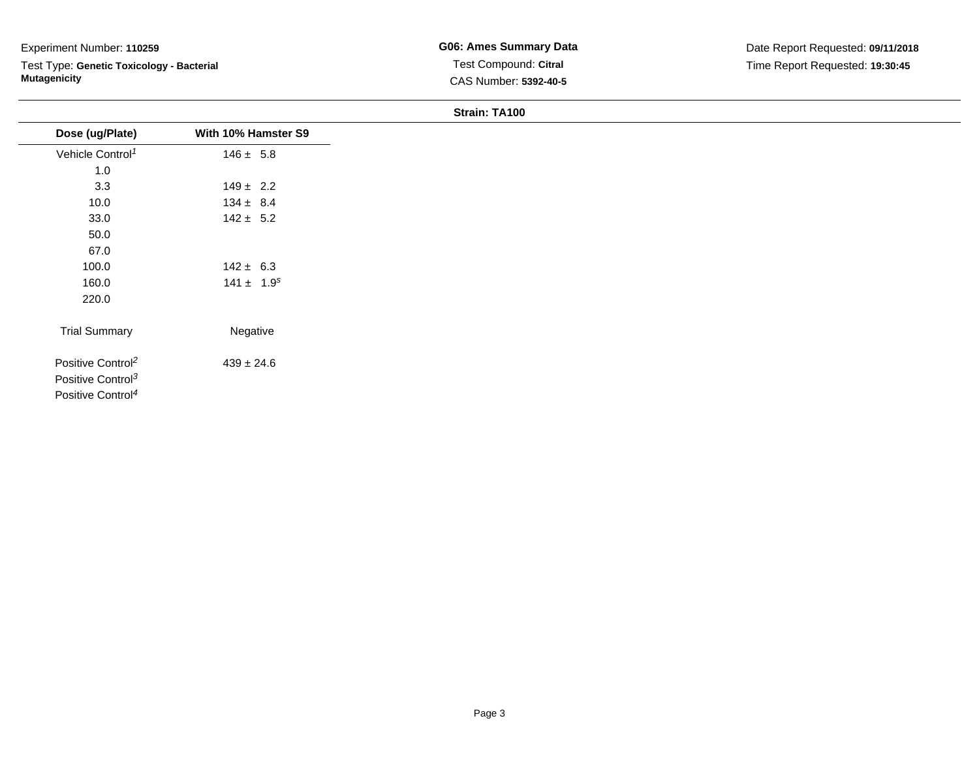Test Type: **Genetic Toxicology - Bacterial Mutagenicity**

**G06: Ames Summary Data**Test Compound: **Citral**CAS Number: **5392-40-5**

|                               |                     | Strain: TA100 |
|-------------------------------|---------------------|---------------|
| Dose (ug/Plate)               | With 10% Hamster S9 |               |
| Vehicle Control <sup>1</sup>  | $146 \pm 5.8$       |               |
| 1.0                           |                     |               |
| 3.3                           | $149 \pm 2.2$       |               |
| 10.0                          | $134 \pm 8.4$       |               |
| 33.0                          | $142 \pm 5.2$       |               |
| 50.0                          |                     |               |
| 67.0                          |                     |               |
| 100.0                         | $142 \pm 6.3$       |               |
| 160.0                         | $141 \pm 1.9^s$     |               |
| 220.0                         |                     |               |
| <b>Trial Summary</b>          | Negative            |               |
| Positive Control <sup>2</sup> | $439 \pm 24.6$      |               |
| Positive Control <sup>3</sup> |                     |               |
| Positive Control <sup>4</sup> |                     |               |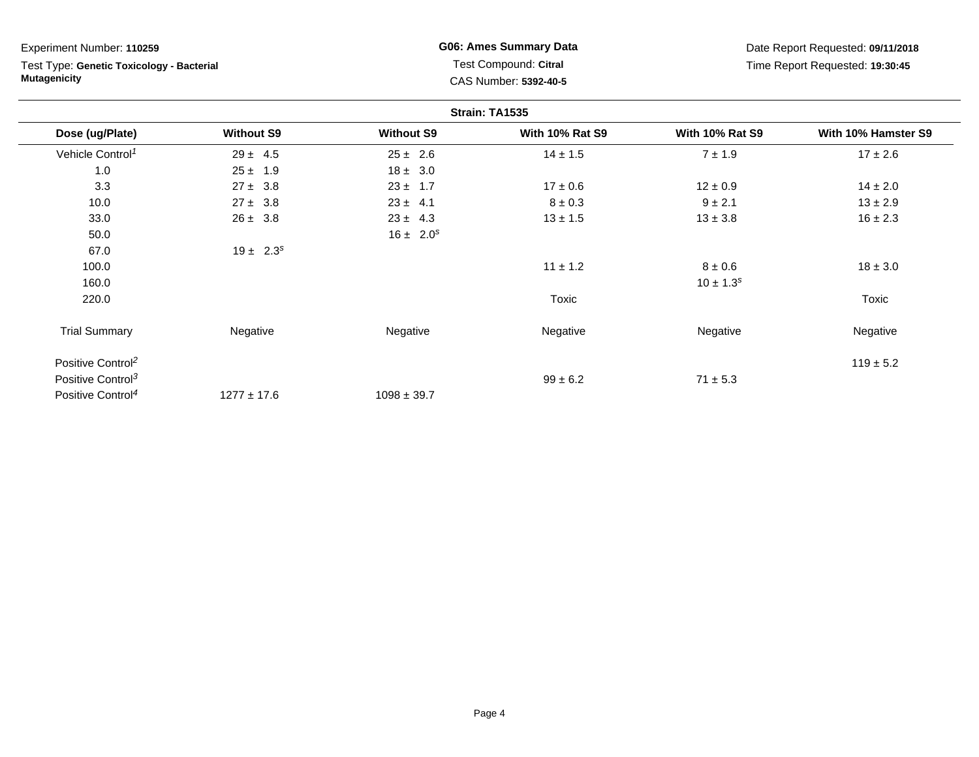Test Type: **Genetic Toxicology - Bacterial Mutagenicity**

**G06: Ames Summary Data**Test Compound: **Citral**CAS Number: **5392-40-5**

|                               |                   |                   | Strain: TA1535         |                        |                     |
|-------------------------------|-------------------|-------------------|------------------------|------------------------|---------------------|
| Dose (ug/Plate)               | <b>Without S9</b> | <b>Without S9</b> | <b>With 10% Rat S9</b> | <b>With 10% Rat S9</b> | With 10% Hamster S9 |
| Vehicle Control <sup>1</sup>  | $29 \pm 4.5$      | $25 \pm 2.6$      | $14 \pm 1.5$           | $7 \pm 1.9$            | $17 \pm 2.6$        |
| 1.0                           | $25 \pm 1.9$      | $18 \pm 3.0$      |                        |                        |                     |
| 3.3                           | $27 \pm 3.8$      | $23 \pm 1.7$      | $17 \pm 0.6$           | $12 \pm 0.9$           | $14 \pm 2.0$        |
| 10.0                          | $27 \pm 3.8$      | $23 \pm 4.1$      | $8 \pm 0.3$            | $9 \pm 2.1$            | $13 \pm 2.9$        |
| 33.0                          | $26 \pm 3.8$      | $23 \pm 4.3$      | $13 \pm 1.5$           | $13 \pm 3.8$           | $16 \pm 2.3$        |
| 50.0                          |                   | $16 \pm 2.0^s$    |                        |                        |                     |
| 67.0                          | $19 \pm 2.3^s$    |                   |                        |                        |                     |
| 100.0                         |                   |                   | $11 \pm 1.2$           | $8 \pm 0.6$            | $18 \pm 3.0$        |
| 160.0                         |                   |                   |                        | $10 \pm 1.3^s$         |                     |
| 220.0                         |                   |                   | Toxic                  |                        | Toxic               |
| <b>Trial Summary</b>          | Negative          | Negative          | Negative               | Negative               | Negative            |
| Positive Control <sup>2</sup> |                   |                   |                        |                        | $119 \pm 5.2$       |
| Positive Control <sup>3</sup> |                   |                   | $99 \pm 6.2$           | $71 \pm 5.3$           |                     |
| Positive Control <sup>4</sup> | $1277 \pm 17.6$   | $1098 \pm 39.7$   |                        |                        |                     |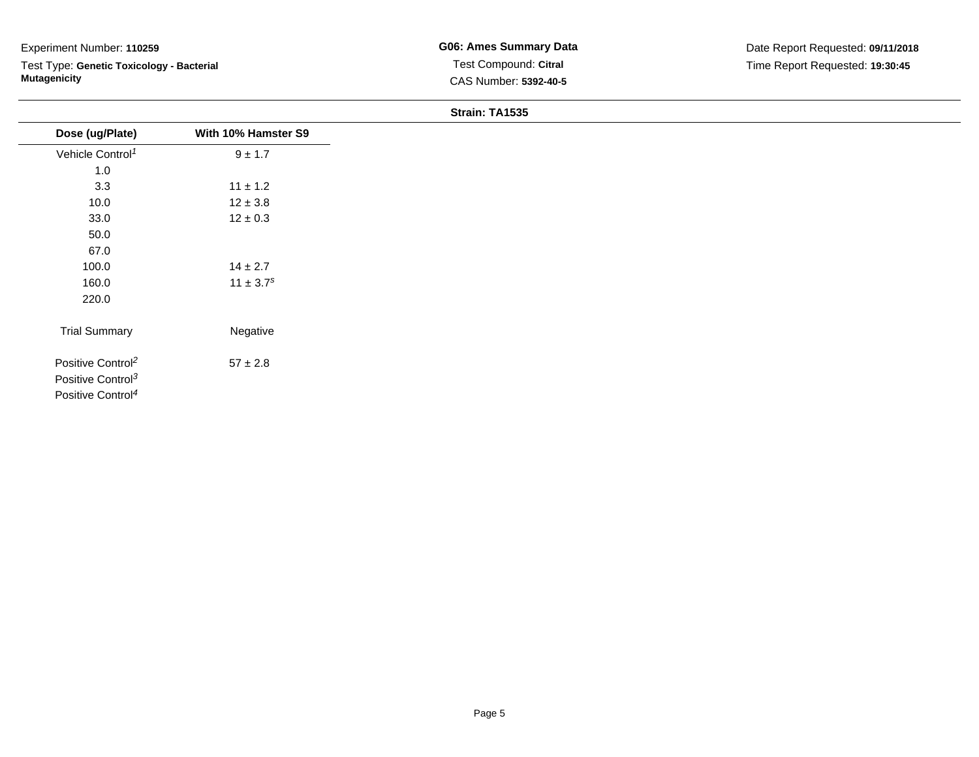Test Type: **Genetic Toxicology - Bacterial Mutagenicity**

| Dose (ug/Plate)               | With 10% Hamster S9 |
|-------------------------------|---------------------|
| Vehicle Control <sup>1</sup>  | $9 \pm 1.7$         |
| 1.0                           |                     |
| 3.3                           | $11 \pm 1.2$        |
| 10.0                          | $12 \pm 3.8$        |
| 33.0                          | $12 \pm 0.3$        |
| 50.0                          |                     |
| 67.0                          |                     |
| 100.0                         | $14 \pm 2.7$        |
| 160.0                         | $11 \pm 3.7^s$      |
| 220.0                         |                     |
| <b>Trial Summary</b>          | Negative            |
| Positive Control <sup>2</sup> | $57\pm2.8$          |
| Positive Control <sup>3</sup> |                     |
| Positive Control <sup>4</sup> |                     |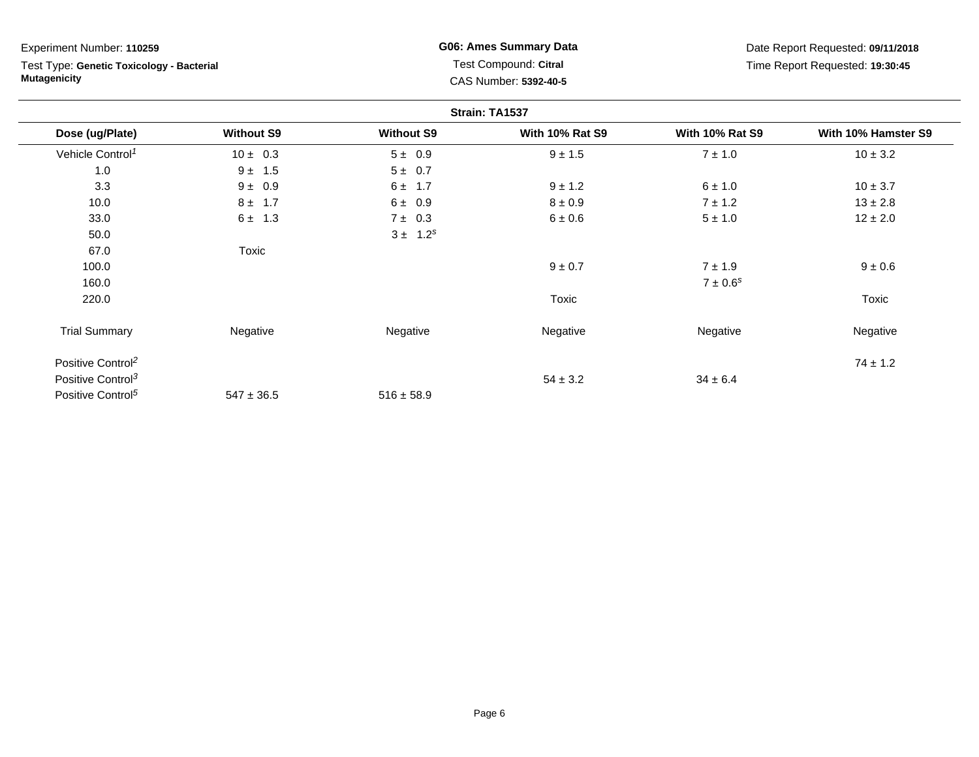Test Type: **Genetic Toxicology - Bacterial Mutagenicity**

**G06: Ames Summary Data**Test Compound: **Citral**CAS Number: **5392-40-5**

|                               |                   |                   | Strain: TA1537         |                        |                     |
|-------------------------------|-------------------|-------------------|------------------------|------------------------|---------------------|
| Dose (ug/Plate)               | <b>Without S9</b> | <b>Without S9</b> | <b>With 10% Rat S9</b> | <b>With 10% Rat S9</b> | With 10% Hamster S9 |
| Vehicle Control <sup>1</sup>  | $10 \pm 0.3$      | $5 \pm 0.9$       | $9 \pm 1.5$            | $7 \pm 1.0$            | $10 \pm 3.2$        |
| 1.0                           | $9 \pm 1.5$       | 5 ± 0.7           |                        |                        |                     |
| 3.3                           | $9 \pm 0.9$       | $6 \pm 1.7$       | $9 \pm 1.2$            | 6 ± 1.0                | $10 \pm 3.7$        |
| 10.0                          | $8 \pm 1.7$       | $6 \pm 0.9$       | $8 \pm 0.9$            | $7 \pm 1.2$            | $13 \pm 2.8$        |
| 33.0                          | 1.3<br>6 ±        | $7 \pm 0.3$       | 6 ± 0.6                | $5 \pm 1.0$            | $12 \pm 2.0$        |
| 50.0                          |                   | $3 \pm 1.2^s$     |                        |                        |                     |
| 67.0                          | Toxic             |                   |                        |                        |                     |
| 100.0                         |                   |                   | $9\pm0.7$              | $7 \pm 1.9$            | $9 \pm 0.6$         |
| 160.0                         |                   |                   |                        | $7 \pm 0.6^s$          |                     |
| 220.0                         |                   |                   | Toxic                  |                        | Toxic               |
| <b>Trial Summary</b>          | Negative          | Negative          | Negative               | Negative               | Negative            |
| Positive Control <sup>2</sup> |                   |                   |                        |                        | $74 \pm 1.2$        |
| Positive Control <sup>3</sup> |                   |                   | $54 \pm 3.2$           | $34 \pm 6.4$           |                     |
| Positive Control <sup>5</sup> | $547 \pm 36.5$    | $516 \pm 58.9$    |                        |                        |                     |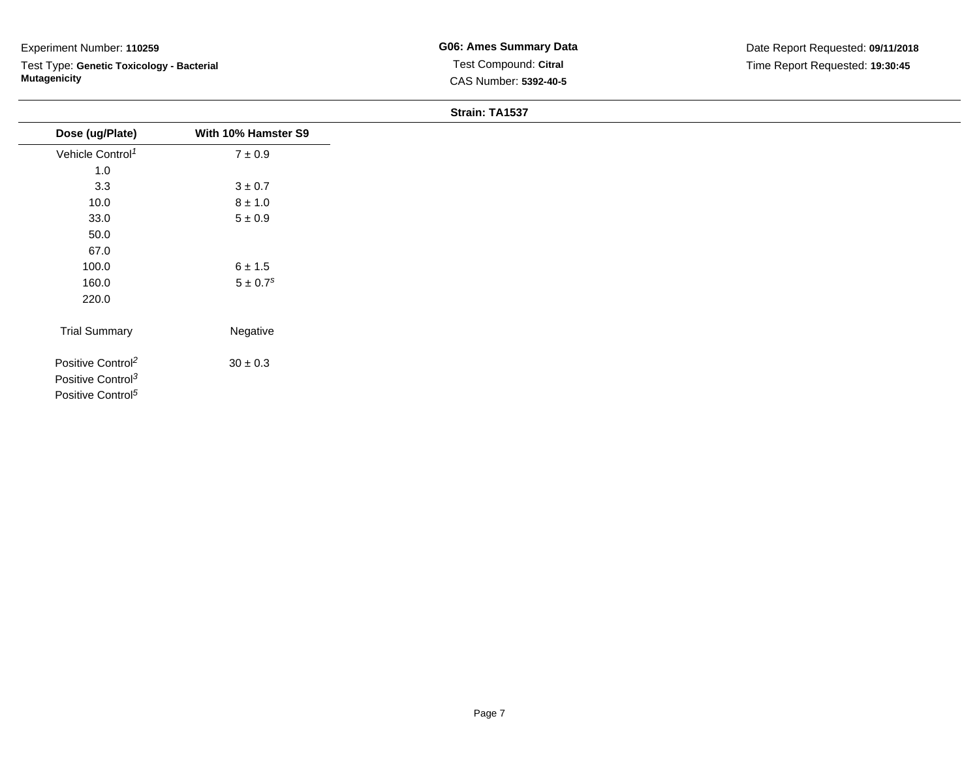Test Type: **Genetic Toxicology - Bacterial Mutagenicity**

| Dose (ug/Plate)               | With 10% Hamster S9 |
|-------------------------------|---------------------|
| Vehicle Control <sup>1</sup>  | $7\pm0.9$           |
| $1.0$                         |                     |
| 3.3                           | $3\pm0.7$           |
| 10.0                          | $8\pm1.0$           |
| 33.0                          | $5\pm0.9$           |
| 50.0                          |                     |
| 67.0                          |                     |
| 100.0                         | $6 \pm 1.5$         |
| 160.0                         | $5\pm0.7^s$         |
| 220.0                         |                     |
|                               |                     |
| <b>Trial Summary</b>          | Negative            |
| Positive Control <sup>2</sup> | $30\pm0.3$          |
| Positive Control <sup>3</sup> |                     |
| Positive Control <sup>5</sup> |                     |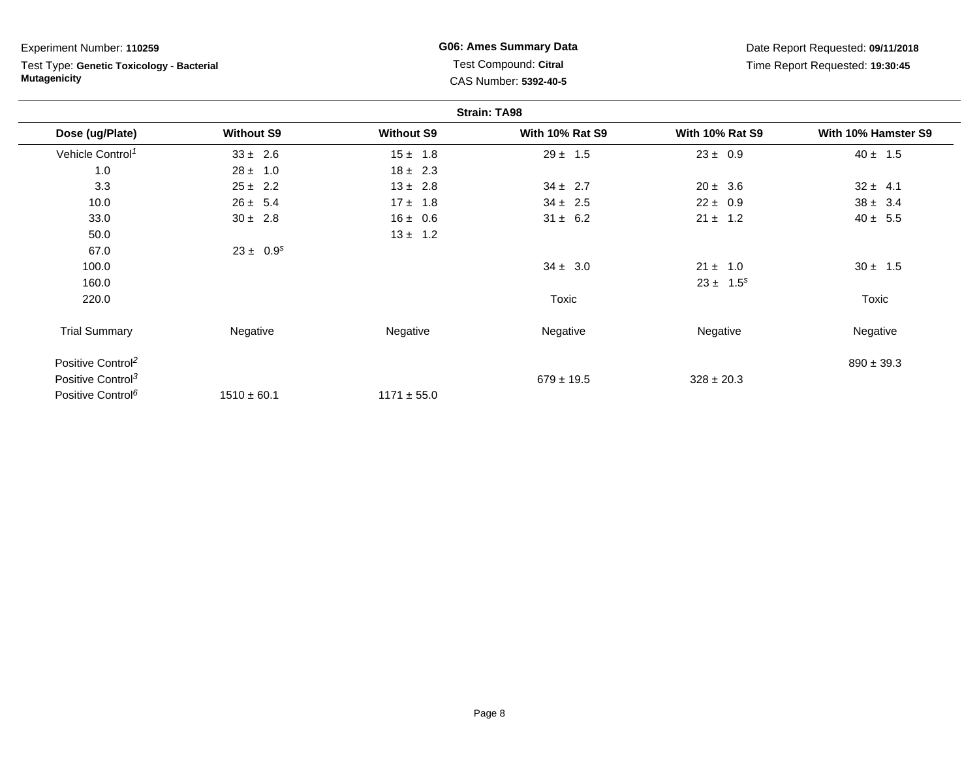Test Type: **Genetic Toxicology - Bacterial Mutagenicity**

**G06: Ames Summary Data**Test Compound: **Citral**CAS Number: **5392-40-5**

|                               |                   |                   | <b>Strain: TA98</b>    |                        |                     |
|-------------------------------|-------------------|-------------------|------------------------|------------------------|---------------------|
| Dose (ug/Plate)               | <b>Without S9</b> | <b>Without S9</b> | <b>With 10% Rat S9</b> | <b>With 10% Rat S9</b> | With 10% Hamster S9 |
| Vehicle Control <sup>1</sup>  | $33 \pm 2.6$      | $15 \pm 1.8$      | $29 \pm 1.5$           | $23 \pm 0.9$           | $40 \pm 1.5$        |
| 1.0                           | $28 \pm 1.0$      | $18 \pm 2.3$      |                        |                        |                     |
| 3.3                           | $25 \pm 2.2$      | $13 \pm 2.8$      | $34 \pm 2.7$           | $20 \pm 3.6$           | $32 \pm 4.1$        |
| 10.0                          | $26 \pm 5.4$      | $17 \pm 1.8$      | $34 \pm 2.5$           | $22 \pm 0.9$           | $38 \pm 3.4$        |
| 33.0                          | $30 \pm 2.8$      | $16 \pm 0.6$      | $31 \pm 6.2$           | $21 \pm 1.2$           | $40 \pm 5.5$        |
| 50.0                          |                   | $13 \pm 1.2$      |                        |                        |                     |
| 67.0                          | $23 \pm 0.9^s$    |                   |                        |                        |                     |
| 100.0                         |                   |                   | $34 \pm 3.0$           | $21 \pm 1.0$           | $30 \pm 1.5$        |
| 160.0                         |                   |                   |                        | $23 \pm 1.5^s$         |                     |
| 220.0                         |                   |                   | Toxic                  |                        | Toxic               |
| <b>Trial Summary</b>          | Negative          | Negative          | Negative               | Negative               | Negative            |
| Positive Control <sup>2</sup> |                   |                   |                        |                        | $890 \pm 39.3$      |
| Positive Control <sup>3</sup> |                   |                   | $679 \pm 19.5$         | $328 \pm 20.3$         |                     |
| Positive Control <sup>6</sup> | $1510 \pm 60.1$   | $1171 \pm 55.0$   |                        |                        |                     |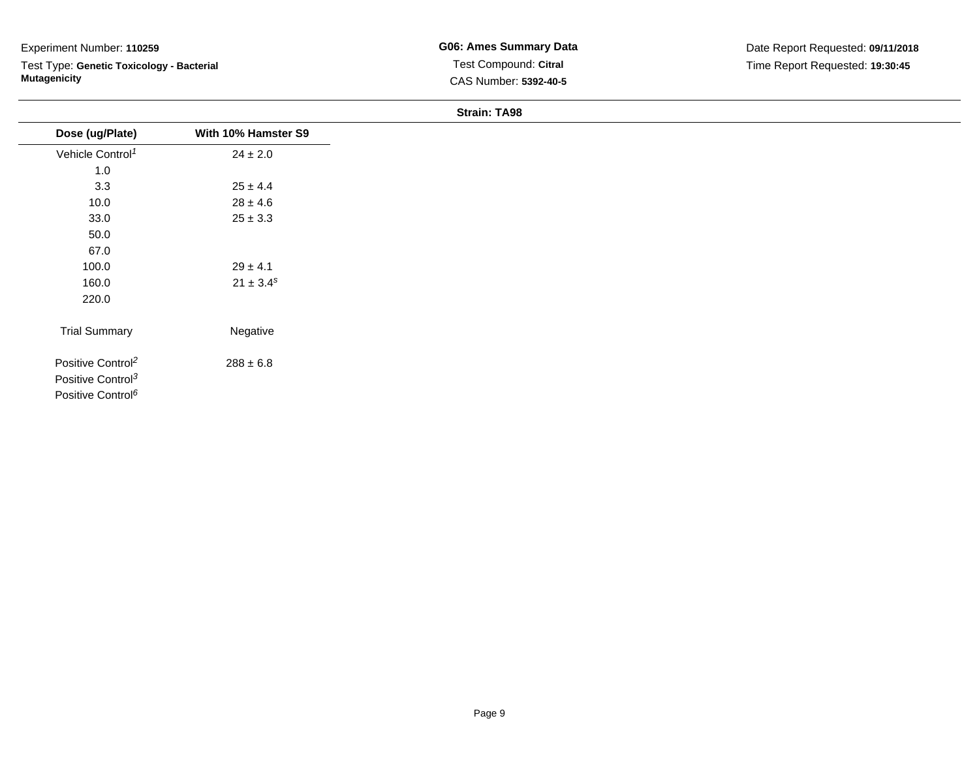Test Type: **Genetic Toxicology - Bacterial Mutagenicity**

**G06: Ames Summary Data**Test Compound: **Citral** CAS Number: **5392-40-5**

| Dose (ug/Plate)               | With 10% Hamster S9 |
|-------------------------------|---------------------|
| Vehicle Control <sup>1</sup>  | $24 \pm 2.0$        |
| $1.0$                         |                     |
| 3.3                           | $25 \pm 4.4$        |
| 10.0                          | $28 \pm 4.6$        |
| 33.0                          | $25\pm3.3$          |
| 50.0                          |                     |
| 67.0                          |                     |
| 100.0                         | $29 \pm 4.1$        |
| 160.0                         | $21 \pm 3.4^s$      |
| 220.0                         |                     |
|                               |                     |
| <b>Trial Summary</b>          | Negative            |
| Positive Control <sup>2</sup> | $288 \pm 6.8$       |
| Positive Control <sup>3</sup> |                     |
| Positive Control <sup>6</sup> |                     |
|                               |                     |